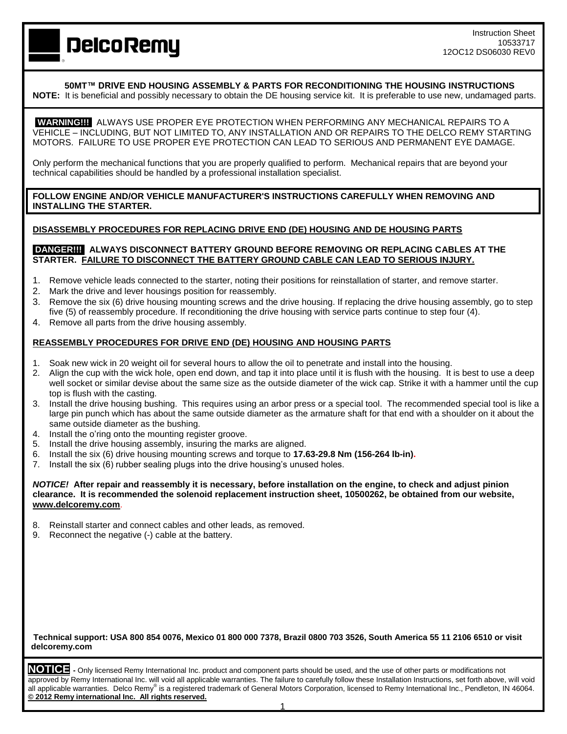Instruction Sheet 10533717 12OC12 DS06030 REV0

**DelcoRemy** 

**50MT™ DRIVE END HOUSING ASSEMBLY & PARTS FOR RECONDITIONING THE HOUSING INSTRUCTIONS**

**NOTE:** It is beneficial and possibly necessary to obtain the DE housing service kit. It is preferable to use new, undamaged parts.

**WARNING!!!** ALWAYS USE PROPER EYE PROTECTION WHEN PERFORMING ANY MECHANICAL REPAIRS TO A VEHICLE – INCLUDING, BUT NOT LIMITED TO, ANY INSTALLATION AND OR REPAIRS TO THE DELCO REMY STARTING MOTORS. FAILURE TO USE PROPER EYE PROTECTION CAN LEAD TO SERIOUS AND PERMANENT EYE DAMAGE.

Only perform the mechanical functions that you are properly qualified to perform. Mechanical repairs that are beyond your technical capabilities should be handled by a professional installation specialist.

**FOLLOW ENGINE AND/OR VEHICLE MANUFACTURER'S INSTRUCTIONS CAREFULLY WHEN REMOVING AND INSTALLING THE STARTER.**

### **DISASSEMBLY PROCEDURES FOR REPLACING DRIVE END (DE) HOUSING AND DE HOUSING PARTS**

### **DANGER!!! ALWAYS DISCONNECT BATTERY GROUND BEFORE REMOVING OR REPLACING CABLES AT THE STARTER. FAILURE TO DISCONNECT THE BATTERY GROUND CABLE CAN LEAD TO SERIOUS INJURY.**

- 1. Remove vehicle leads connected to the starter, noting their positions for reinstallation of starter, and remove starter.
- 2. Mark the drive and lever housings position for reassembly.
- 3. Remove the six (6) drive housing mounting screws and the drive housing. If replacing the drive housing assembly, go to step five (5) of reassembly procedure. If reconditioning the drive housing with service parts continue to step four (4).
- 4. Remove all parts from the drive housing assembly.

## **REASSEMBLY PROCEDURES FOR DRIVE END (DE) HOUSING AND HOUSING PARTS**

- 1. Soak new wick in 20 weight oil for several hours to allow the oil to penetrate and install into the housing.
- 2. Align the cup with the wick hole, open end down, and tap it into place until it is flush with the housing. It is best to use a deep well socket or similar devise about the same size as the outside diameter of the wick cap. Strike it with a hammer until the cup top is flush with the casting.
- 3. Install the drive housing bushing. This requires using an arbor press or a special tool. The recommended special tool is like a large pin punch which has about the same outside diameter as the armature shaft for that end with a shoulder on it about the same outside diameter as the bushing.
- 4. Install the o'ring onto the mounting register groove.
- 5. Install the drive housing assembly, insuring the marks are aligned.
- 6. Install the six (6) drive housing mounting screws and torque to **17.63-29.8 Nm (156-264 lb-in).**
- 7. Install the six (6) rubber sealing plugs into the drive housing's unused holes.

*NOTICE!* **After repair and reassembly it is necessary, before installation on the engine, to check and adjust pinion clearance. It is recommended the solenoid replacement instruction sheet, 10500262, be obtained from our website, [www.delcoremy.com](http://www.delcoremy.com/)**.

- 8. Reinstall starter and connect cables and other leads, as removed.
- 9. Reconnect the negative (-) cable at the battery.

**Technical support: USA 800 854 0076, Mexico 01 800 000 7378, Brazil 0800 703 3526, South America 55 11 2106 6510 or visit delcoremy.com**

**NOTICE -** Only licensed Remy International Inc. product and component parts should be used, and the use of other parts or modifications not approved by Remy International Inc. will void all applicable warranties. The failure to carefully follow these Installation Instructions, set forth above, will void all applicable warranties. Delco Remy® is a registered trademark of General Motors Corporation, licensed to Remy International Inc., Pendleton, IN 46064. **© 2012 Remy international Inc. All rights reserved.**